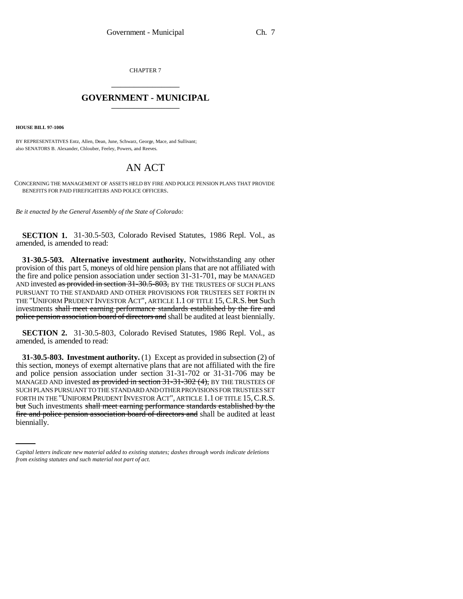CHAPTER 7 \_\_\_\_\_\_\_\_\_\_\_\_\_\_\_

# **GOVERNMENT - MUNICIPAL** \_\_\_\_\_\_\_\_\_\_\_\_\_\_\_

**HOUSE BILL 97-1006**

BY REPRESENTATIVES Entz, Allen, Dean, June, Schwarz, George, Mace, and Sullivant; also SENATORS B. Alexander, Chlouber, Feeley, Powers, and Reeves.

# AN ACT

CONCERNING THE MANAGEMENT OF ASSETS HELD BY FIRE AND POLICE PENSION PLANS THAT PROVIDE BENEFITS FOR PAID FIREFIGHTERS AND POLICE OFFICERS.

*Be it enacted by the General Assembly of the State of Colorado:*

**SECTION 1.** 31-30.5-503, Colorado Revised Statutes, 1986 Repl. Vol., as amended, is amended to read:

**31-30.5-503. Alternative investment authority.** Notwithstanding any other provision of this part 5, moneys of old hire pension plans that are not affiliated with the fire and police pension association under section 31-31-701, may be MANAGED AND invested as provided in section 31-30.5-803, BY THE TRUSTEES OF SUCH PLANS PURSUANT TO THE STANDARD AND OTHER PROVISIONS FOR TRUSTEES SET FORTH IN THE "UNIFORM PRUDENT INVESTOR ACT", ARTICLE 1.1 OF TITLE 15, C.R.S. but Such investments shall meet earning performance standards established by the fire and police pension association board of directors and shall be audited at least biennially.

**SECTION 2.** 31-30.5-803, Colorado Revised Statutes, 1986 Repl. Vol., as amended, is amended to read:

but Such investments shall meet earning performance standards established by the **31-30.5-803. Investment authority.** (1) Except as provided in subsection (2) of this section, moneys of exempt alternative plans that are not affiliated with the fire and police pension association under section 31-31-702 or 31-31-706 may be MANAGED AND invested as provided in section 31-31-302 (4), BY THE TRUSTEES OF SUCH PLANS PURSUANT TO THE STANDARD AND OTHER PROVISIONS FOR TRUSTEES SET FORTH IN THE "UNIFORM PRUDENT INVESTOR ACT", ARTICLE 1.1 OF TITLE 15, C.R.S. fire and police pension association board of directors and shall be audited at least biennially.

*Capital letters indicate new material added to existing statutes; dashes through words indicate deletions from existing statutes and such material not part of act.*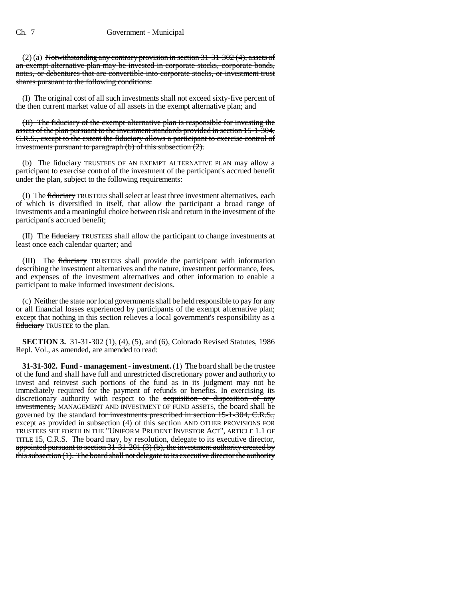(2) (a) Notwithstanding any contrary provision in section 31-31-302 (4), assets of an exempt alternative plan may be invested in corporate stocks, corporate bonds, notes, or debentures that are convertible into corporate stocks, or investment trust shares pursuant to the following conditions:

(I) The original cost of all such investments shall not exceed sixty-five percent of the then current market value of all assets in the exempt alternative plan; and

(II) The fiduciary of the exempt alternative plan is responsible for investing the assets of the plan pursuant to the investment standards provided in section 15-1-304, C.R.S., except to the extent the fiduciary allows a participant to exercise control of investments pursuant to paragraph (b) of this subsection  $(2)$ .

(b) The fiduciary TRUSTEES OF AN EXEMPT ALTERNATIVE PLAN may allow a participant to exercise control of the investment of the participant's accrued benefit under the plan, subject to the following requirements:

(I) The **fiduciary** TRUSTEES shall select at least three investment alternatives, each of which is diversified in itself, that allow the participant a broad range of investments and a meaningful choice between risk and return in the investment of the participant's accrued benefit;

(II) The fiduciary TRUSTEES shall allow the participant to change investments at least once each calendar quarter; and

(III) The fiduciary TRUSTEES shall provide the participant with information describing the investment alternatives and the nature, investment performance, fees, and expenses of the investment alternatives and other information to enable a participant to make informed investment decisions.

(c) Neither the state nor local governments shall be held responsible to pay for any or all financial losses experienced by participants of the exempt alternative plan; except that nothing in this section relieves a local government's responsibility as a fiduciary TRUSTEE to the plan.

**SECTION 3.** 31-31-302 (1), (4), (5), and (6), Colorado Revised Statutes, 1986 Repl. Vol., as amended, are amended to read:

**31-31-302. Fund - management - investment.** (1) The board shall be the trustee of the fund and shall have full and unrestricted discretionary power and authority to invest and reinvest such portions of the fund as in its judgment may not be immediately required for the payment of refunds or benefits. In exercising its discretionary authority with respect to the acquisition or disposition of any investments, MANAGEMENT AND INVESTMENT OF FUND ASSETS, the board shall be governed by the standard for investments prescribed in section 15-1-304, C.R.S., except as provided in subsection (4) of this section AND OTHER PROVISIONS FOR TRUSTEES SET FORTH IN THE "UNIFORM PRUDENT INVESTOR ACT", ARTICLE 1.1 OF TITLE 15, C.R.S. The board may, by resolution, delegate to its executive director, appointed pursuant to section 31-31-201 (3) (b), the investment authority created by this subsection (1). The board shall not delegate to its executive director the authority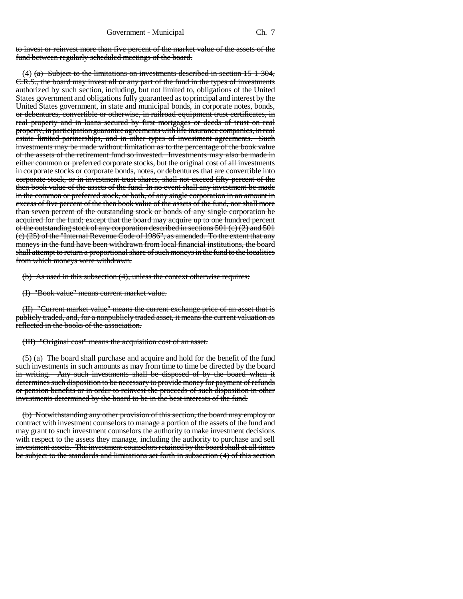to invest or reinvest more than five percent of the market value of the assets of the fund between regularly scheduled meetings of the board.

(4)  $(a)$  Subject to the limitations on investments described in section 15-1-304, C.R.S., the board may invest all or any part of the fund in the types of investments authorized by such section, including, but not limited to, obligations of the United States government and obligations fully guaranteed as to principal and interest by the United States government, in state and municipal bonds, in corporate notes, bonds, or debentures, convertible or otherwise, in railroad equipment trust certificates, in real property and in loans secured by first mortgages or deeds of trust on real property, in participation guarantee agreements with life insurance companies, in real estate limited partnerships, and in other types of investment agreements. Such investments may be made without limitation as to the percentage of the book value of the assets of the retirement fund so invested. Investments may also be made in either common or preferred corporate stocks, but the original cost of all investments in corporate stocks or corporate bonds, notes, or debentures that are convertible into corporate stock, or in investment trust shares, shall not exceed fifty percent of the then book value of the assets of the fund. In no event shall any investment be made in the common or preferred stock, or both, of any single corporation in an amount in excess of five percent of the then book value of the assets of the fund, nor shall more than seven percent of the outstanding stock or bonds of any single corporation be acquired for the fund; except that the board may acquire up to one hundred percent of the outstanding stock of any corporation described in sections 501 (c) (2) and 501 (c) (25) of the "Internal Revenue Code of 1986", as amended. To the extent that any moneys in the fund have been withdrawn from local financial institutions, the board shall attempt to return a proportional share of such moneys in the fund to the localities from which moneys were withdrawn.

(b) As used in this subsection (4), unless the context otherwise requires:

(I) "Book value" means current market value.

(II) "Current market value" means the current exchange price of an asset that is publicly traded, and, for a nonpublicly traded asset, it means the current valuation as reflected in the books of the association.

(III) "Original cost" means the acquisition cost of an asset.

 $(5)$  (a) The board shall purchase and acquire and hold for the benefit of the fund such investments in such amounts as may from time to time be directed by the board in writing. Any such investments shall be disposed of by the board when it determines such disposition to be necessary to provide money for payment of refunds or pension benefits or in order to reinvest the proceeds of such disposition in other investments determined by the board to be in the best interests of the fund.

(b) Notwithstanding any other provision of this section, the board may employ or contract with investment counselors to manage a portion of the assets of the fund and may grant to such investment counselors the authority to make investment decisions with respect to the assets they manage, including the authority to purchase and sell investment assets. The investment counselors retained by the board shall at all times be subject to the standards and limitations set forth in subsection (4) of this section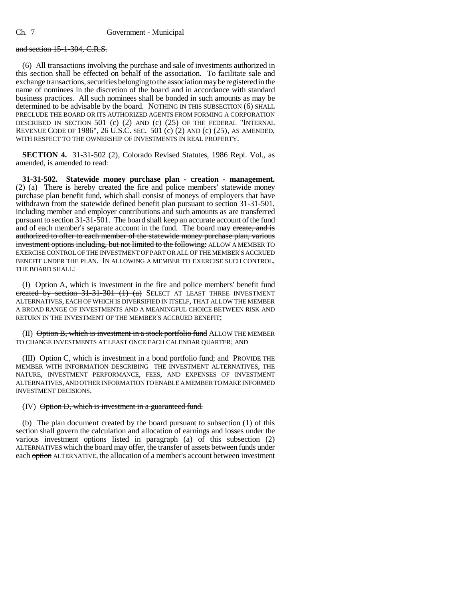### and section 15-1-304, C.R.S.

(6) All transactions involving the purchase and sale of investments authorized in this section shall be effected on behalf of the association. To facilitate sale and exchange transactions, securities belonging to the association may be registered in the name of nominees in the discretion of the board and in accordance with standard business practices. All such nominees shall be bonded in such amounts as may be determined to be advisable by the board. NOTHING IN THIS SUBSECTION (6) SHALL PRECLUDE THE BOARD OR ITS AUTHORIZED AGENTS FROM FORMING A CORPORATION DESCRIBED IN SECTION 501 (c) (2) AND (c) (25) OF THE FEDERAL "INTERNAL REVENUE CODE OF 1986", <sup>26</sup> U.S.C. SEC. 501 (c) (2) AND (c) (25), AS AMENDED, WITH RESPECT TO THE OWNERSHIP OF INVESTMENTS IN REAL PROPERTY.

**SECTION 4.** 31-31-502 (2), Colorado Revised Statutes, 1986 Repl. Vol., as amended, is amended to read:

**31-31-502. Statewide money purchase plan - creation - management.** (2) (a) There is hereby created the fire and police members' statewide money purchase plan benefit fund, which shall consist of moneys of employers that have withdrawn from the statewide defined benefit plan pursuant to section 31-31-501, including member and employer contributions and such amounts as are transferred pursuant to section 31-31-501. The board shall keep an accurate account of the fund and of each member's separate account in the fund. The board may ereate, and is authorized to offer to each member of the statewide money purchase plan, various investment options including, but not limited to the following: ALLOW A MEMBER TO EXERCISE CONTROL OF THE INVESTMENT OF PART OR ALL OF THE MEMBER'S ACCRUED BENEFIT UNDER THE PLAN. IN ALLOWING A MEMBER TO EXERCISE SUCH CONTROL, THE BOARD SHALL:

(I) Option A, which is investment in the fire and police members' benefit fund created by section  $31-31-301$  (1) (a) SELECT AT LEAST THREE INVESTMENT ALTERNATIVES, EACH OF WHICH IS DIVERSIFIED IN ITSELF, THAT ALLOW THE MEMBER A BROAD RANGE OF INVESTMENTS AND A MEANINGFUL CHOICE BETWEEN RISK AND RETURN IN THE INVESTMENT OF THE MEMBER'S ACCRUED BENEFIT;

(II) Option B, which is investment in a stock portfolio fund ALLOW THE MEMBER TO CHANGE INVESTMENTS AT LEAST ONCE EACH CALENDAR QUARTER; AND

(III)  $\Theta$ ption  $C$ , which is investment in a bond portfolio fund; and PROVIDE THE MEMBER WITH INFORMATION DESCRIBING THE INVESTMENT ALTERNATIVES, THE NATURE, INVESTMENT PERFORMANCE, FEES, AND EXPENSES OF INVESTMENT ALTERNATIVES, AND OTHER INFORMATION TO ENABLE A MEMBER TO MAKE INFORMED INVESTMENT DECISIONS.

#### $(IV)$  Option D, which is investment in a guaranteed fund.

(b) The plan document created by the board pursuant to subsection (1) of this section shall govern the calculation and allocation of earnings and losses under the various investment <del>options listed in paragraph (a) of this subsection (2)</del> ALTERNATIVES which the board may offer, the transfer of assets between funds under each option ALTERNATIVE, the allocation of a member's account between investment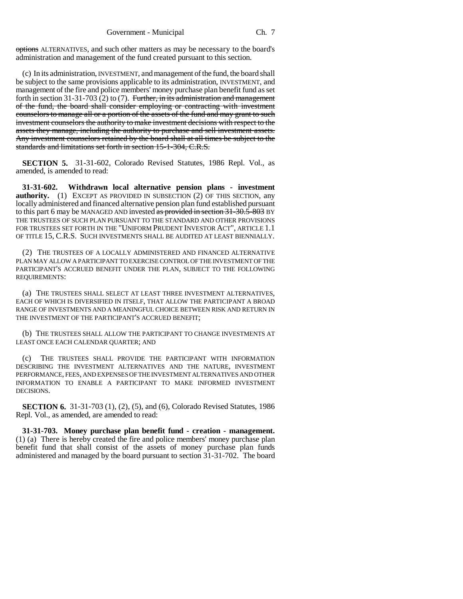options ALTERNATIVES, and such other matters as may be necessary to the board's administration and management of the fund created pursuant to this section.

(c) In its administration, INVESTMENT, and management of the fund, the board shall be subject to the same provisions applicable to its administration, INVESTMENT, and management of the fire and police members' money purchase plan benefit fund as set forth in section 31-31-703 (2) to (7). Further, in its administration and management of the fund, the board shall consider employing or contracting with investment counselors to manage all or a portion of the assets of the fund and may grant to such investment counselors the authority to make investment decisions with respect to the assets they manage, including the authority to purchase and sell investment assets. Any investment counselors retained by the board shall at all times be subject to the standards and limitations set forth in section 15-1-304, C.R.S.

**SECTION 5.** 31-31-602, Colorado Revised Statutes, 1986 Repl. Vol., as amended, is amended to read:

**31-31-602. Withdrawn local alternative pension plans - investment authority.** (1) EXCEPT AS PROVIDED IN SUBSECTION (2) OF THIS SECTION, any locally administered and financed alternative pension plan fund established pursuant to this part 6 may be MANAGED AND invested as provided in section  $31-30.5-803$  BY THE TRUSTEES OF SUCH PLAN PURSUANT TO THE STANDARD AND OTHER PROVISIONS FOR TRUSTEES SET FORTH IN THE "UNIFORM PRUDENT INVESTOR ACT", ARTICLE 1.1 OF TITLE 15, C.R.S. SUCH INVESTMENTS SHALL BE AUDITED AT LEAST BIENNIALLY.

(2) THE TRUSTEES OF A LOCALLY ADMINISTERED AND FINANCED ALTERNATIVE PLAN MAY ALLOW A PARTICIPANT TO EXERCISE CONTROL OF THE INVESTMENT OF THE PARTICIPANT'S ACCRUED BENEFIT UNDER THE PLAN, SUBJECT TO THE FOLLOWING REQUIREMENTS:

(a) THE TRUSTEES SHALL SELECT AT LEAST THREE INVESTMENT ALTERNATIVES, EACH OF WHICH IS DIVERSIFIED IN ITSELF, THAT ALLOW THE PARTICIPANT A BROAD RANGE OF INVESTMENTS AND A MEANINGFUL CHOICE BETWEEN RISK AND RETURN IN THE INVESTMENT OF THE PARTICIPANT'S ACCRUED BENEFIT;

(b) THE TRUSTEES SHALL ALLOW THE PARTICIPANT TO CHANGE INVESTMENTS AT LEAST ONCE EACH CALENDAR QUARTER; AND

(c) THE TRUSTEES SHALL PROVIDE THE PARTICIPANT WITH INFORMATION DESCRIBING THE INVESTMENT ALTERNATIVES AND THE NATURE, INVESTMENT PERFORMANCE, FEES, AND EXPENSES OF THE INVESTMENT ALTERNATIVES AND OTHER INFORMATION TO ENABLE A PARTICIPANT TO MAKE INFORMED INVESTMENT DECISIONS.

**SECTION 6.** 31-31-703 (1), (2), (5), and (6), Colorado Revised Statutes, 1986 Repl. Vol., as amended, are amended to read:

**31-31-703. Money purchase plan benefit fund - creation - management.** (1) (a) There is hereby created the fire and police members' money purchase plan benefit fund that shall consist of the assets of money purchase plan funds administered and managed by the board pursuant to section 31-31-702. The board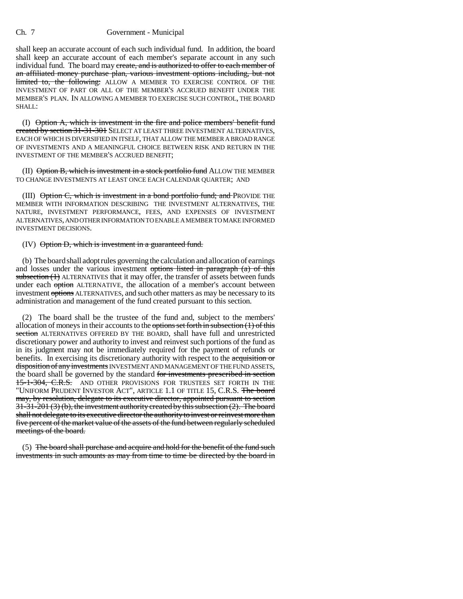## Ch. 7 Government - Municipal

shall keep an accurate account of each such individual fund. In addition, the board shall keep an accurate account of each member's separate account in any such individual fund. The board may create, and is authorized to offer to each member of an affiliated money purchase plan, various investment options including, but not limited to, the following: ALLOW A MEMBER TO EXERCISE CONTROL OF THE INVESTMENT OF PART OR ALL OF THE MEMBER'S ACCRUED BENEFIT UNDER THE MEMBER'S PLAN. IN ALLOWING A MEMBER TO EXERCISE SUCH CONTROL, THE BOARD SHALL:

(I) Option A, which is investment in the fire and police members' benefit fund created by section 31-31-301 SELECT AT LEAST THREE INVESTMENT ALTERNATIVES, EACH OF WHICH IS DIVERSIFIED IN ITSELF, THAT ALLOW THE MEMBER A BROAD RANGE OF INVESTMENTS AND A MEANINGFUL CHOICE BETWEEN RISK AND RETURN IN THE INVESTMENT OF THE MEMBER'S ACCRUED BENEFIT;

 $(II)$   $\Theta$  option B, which is investment in a stock portfolio fund ALLOW THE MEMBER TO CHANGE INVESTMENTS AT LEAST ONCE EACH CALENDAR QUARTER; AND

(III) Option C, which is investment in a bond portfolio fund; and PROVIDE THE MEMBER WITH INFORMATION DESCRIBING THE INVESTMENT ALTERNATIVES, THE NATURE, INVESTMENT PERFORMANCE, FEES, AND EXPENSES OF INVESTMENT ALTERNATIVES, AND OTHER INFORMATION TO ENABLE A MEMBER TO MAKE INFORMED INVESTMENT DECISIONS.

#### (IV) Option D, which is investment in a guaranteed fund.

(b) The board shall adopt rules governing the calculation and allocation of earnings and losses under the various investment options listed in paragraph  $(a)$  of this subsection  $(1)$  ALTERNATIVES that it may offer, the transfer of assets between funds under each option ALTERNATIVE, the allocation of a member's account between investment options ALTERNATIVES, and such other matters as may be necessary to its administration and management of the fund created pursuant to this section.

(2) The board shall be the trustee of the fund and, subject to the members' allocation of moneys in their accounts to the options set forth in subsection  $(1)$  of this section ALTERNATIVES OFFERED BY THE BOARD, shall have full and unrestricted discretionary power and authority to invest and reinvest such portions of the fund as in its judgment may not be immediately required for the payment of refunds or benefits. In exercising its discretionary authority with respect to the acquisition or disposition of any investments INVESTMENT AND MANAGEMENT OF THE FUND ASSETS, the board shall be governed by the standard for investments prescribed in section 15-1-304, C.R.S. AND OTHER PROVISIONS FOR TRUSTEES SET FORTH IN THE "UNIFORM PRUDENT INVESTOR ACT", ARTICLE 1.1 OF TITLE 15, C.R.S. The board may, by resolution, delegate to its executive director, appointed pursuant to section 31-31-201 (3) (b), the investment authority created by this subsection (2). The board shall not delegate to its executive director the authority to invest or reinvest more than five percent of the market value of the assets of the fund between regularly scheduled meetings of the board.

(5) The board shall purchase and acquire and hold for the benefit of the fund such investments in such amounts as may from time to time be directed by the board in